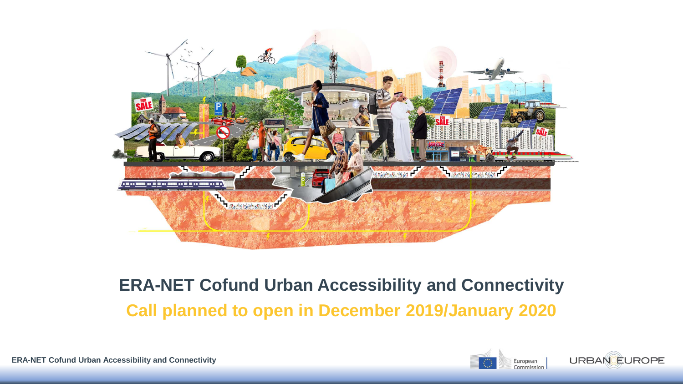

#### **ERA-NET Cofund Urban Accessibility and Connectivity Call planned to open in December 2019/January 2020**



**ERA-NET Cofund Urban Accessibility and Connectivity**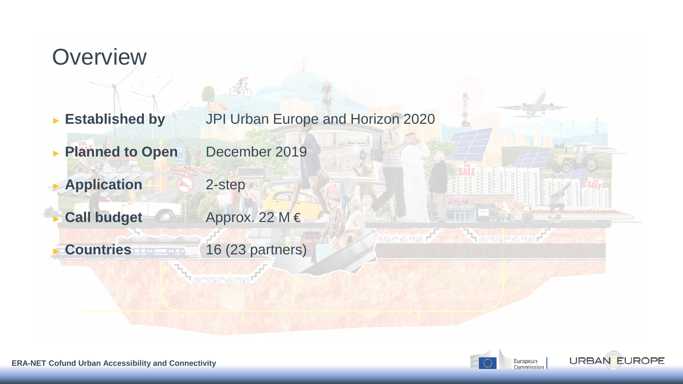# **Overview** ► **Established by** JPI Urban Europe and Horizon 2020 ► **Planned to Open** December 2019 ► **Application** 2-step Call budget **Approx.** 22 M € **ASSESSMENT THEIR WATER** ► **Countries** 16 (23 partners)



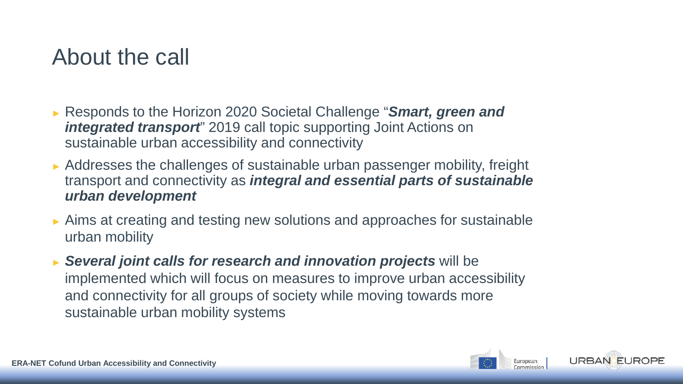#### About the call

- ► Responds to the Horizon 2020 Societal Challenge "*Smart, green and integrated transport*" 2019 call topic supporting Joint Actions on sustainable urban accessibility and connectivity
- ► Addresses the challenges of sustainable urban passenger mobility, freight transport and connectivity as *integral and essential parts of sustainable urban development*
- ► Aims at creating and testing new solutions and approaches for sustainable urban mobility
- ► *Several joint calls for research and innovation projects* will be implemented which will focus on measures to improve urban accessibility and connectivity for all groups of society while moving towards more sustainable urban mobility systems

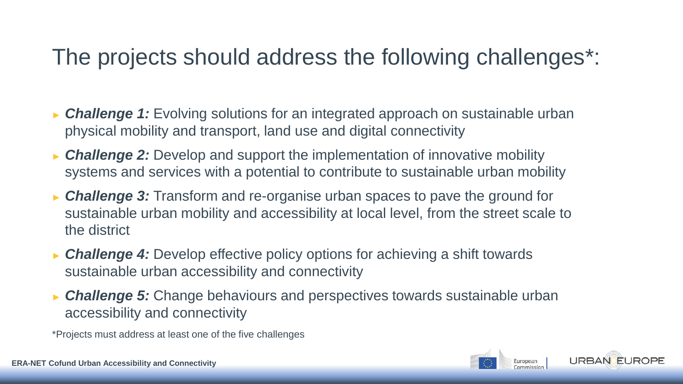#### The projects should address the following challenges\*:

- ► *Challenge 1:* Evolving solutions for an integrated approach on sustainable urban physical mobility and transport, land use and digital connectivity
- ► *Challenge 2:* Develop and support the implementation of innovative mobility systems and services with a potential to contribute to sustainable urban mobility
- ► *Challenge 3:* Transform and re-organise urban spaces to pave the ground for sustainable urban mobility and accessibility at local level, from the street scale to the district
- ► *Challenge 4:* Develop effective policy options for achieving a shift towards sustainable urban accessibility and connectivity
- ► *Challenge 5:* Change behaviours and perspectives towards sustainable urban accessibility and connectivity

\*Projects must address at least one of the five challenges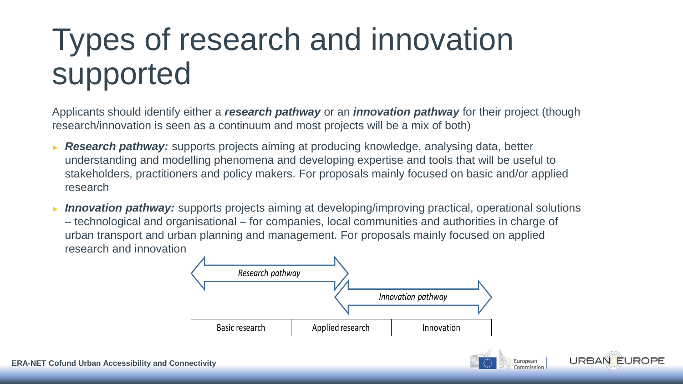## Types of research and innovation supported

Applicants should identify either a *research pathway* or an *innovation pathway* for their project (though research/innovation is seen as a continuum and most projects will be a mix of both)

- **Research pathway:** supports projects aiming at producing knowledge, analysing data, better understanding and modelling phenomena and developing expertise and tools that will be useful to stakeholders, practitioners and policy makers. For proposals mainly focused on basic and/or applied research
- ► *Innovation pathway:* supports projects aiming at developing/improving practical, operational solutions – technological and organisational – for companies, local communities and authorities in charge of urban transport and urban planning and management. For proposals mainly focused on applied research and innovation



European

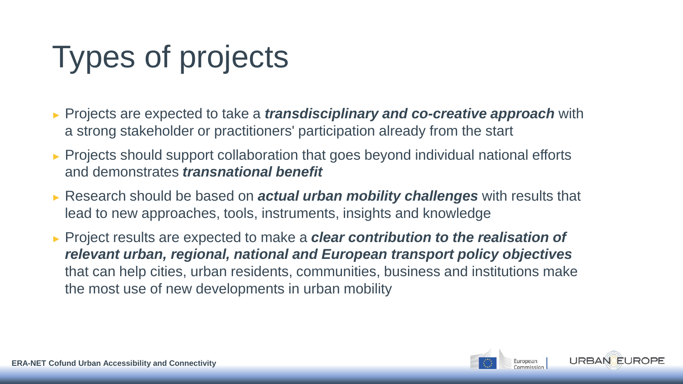## Types of projects

- ► Projects are expected to take a *transdisciplinary and co-creative approach* with a strong stakeholder or practitioners' participation already from the start
- ► Projects should support collaboration that goes beyond individual national efforts and demonstrates *transnational benefit*
- ► Research should be based on *actual urban mobility challenges* with results that lead to new approaches, tools, instruments, insights and knowledge
- ► Project results are expected to make a *clear contribution to the realisation of relevant urban, regional, national and European transport policy objectives*  that can help cities, urban residents, communities, business and institutions make the most use of new developments in urban mobility

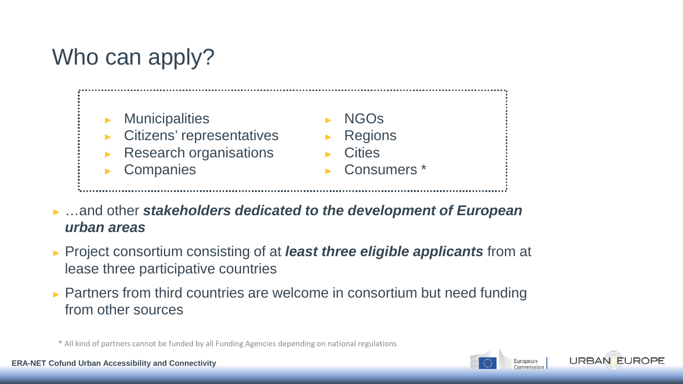### Who can apply?



- ► …and other *stakeholders dedicated to the development of European urban areas*
- ► Project consortium consisting of at *least three eligible applicants* from at lease three participative countries
- ► Partners from third countries are welcome in consortium but need funding from other sources

\* All kind of partners cannot be funded by all Funding Agencies depending on national regulations

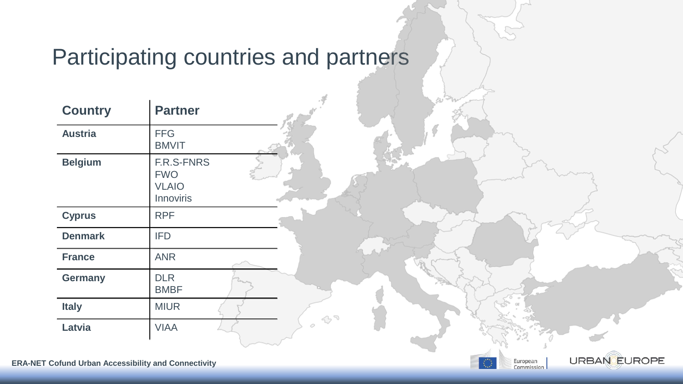### Participating countries and partners

**URBAN EUROPE** 

European<br>Commission

| <b>Country</b> | <b>Partner</b>                                                      |  |
|----------------|---------------------------------------------------------------------|--|
| <b>Austria</b> | <b>FFG</b><br><b>BMVIT</b>                                          |  |
| <b>Belgium</b> | <b>F.R.S-FNRS</b><br><b>FWO</b><br><b>VLAIO</b><br><b>Innoviris</b> |  |
| <b>Cyprus</b>  | <b>RPF</b>                                                          |  |
| <b>Denmark</b> | <b>IFD</b>                                                          |  |
| <b>France</b>  | <b>ANR</b>                                                          |  |
| <b>Germany</b> | <b>DLR</b><br><b>BMBF</b>                                           |  |
| <b>Italy</b>   | <b>MIUR</b>                                                         |  |
| <b>Latvia</b>  | <b>VIAA</b>                                                         |  |

 $\mathbf{I}$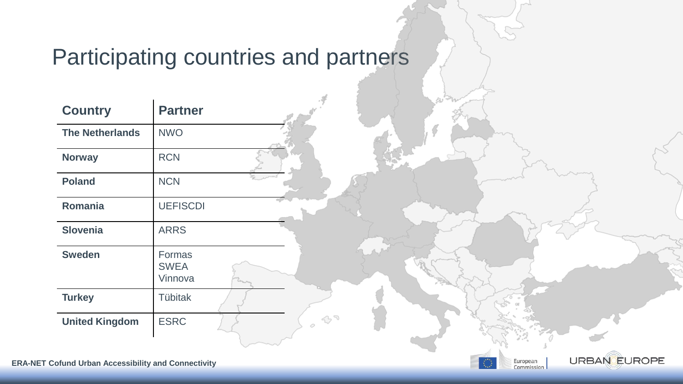### Participating countries and partners

**URBAN EUROPE** 

European<br>Commission

| <b>Country</b>         | <b>Partner</b>                          |  |
|------------------------|-----------------------------------------|--|
| <b>The Netherlands</b> | <b>NWO</b>                              |  |
| <b>Norway</b>          | <b>RCN</b>                              |  |
| <b>Poland</b>          | <b>NCN</b>                              |  |
| Romania                | <b>UEFISCDI</b>                         |  |
| <b>Slovenia</b>        | <b>ARRS</b>                             |  |
| <b>Sweden</b>          | <b>Formas</b><br><b>SWEA</b><br>Vinnova |  |
| <b>Turkey</b>          | <b>Tübitak</b>                          |  |
| <b>United Kingdom</b>  | <b>ESRC</b>                             |  |

 $\mathbf{I}$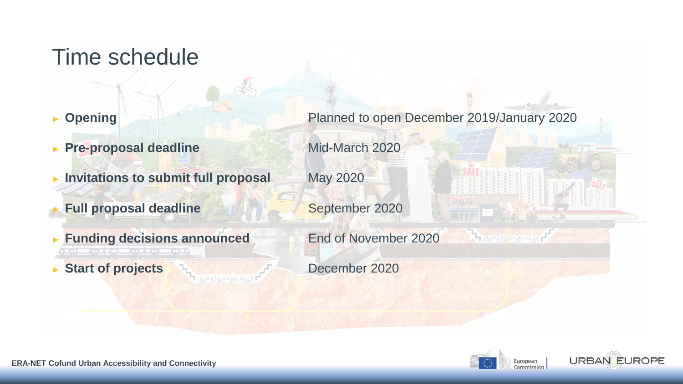#### Time schedule

- 
- ► **Pre-proposal deadline** Mid-March 2020
- ► Invitations to submit full proposal May 2020
- **Full proposal deadline September 2020**
- **Funding decisions announced End of November 2020**
- ► **Start of projects** December 2020

► **Opening** Planned to open December 2019/January 2020



**THE REPORT OF THE PARTY OF THE PARTY OF THE REPORT OF THE PARTY OF THE REPORT OF THE PARTY OF THE RE** 

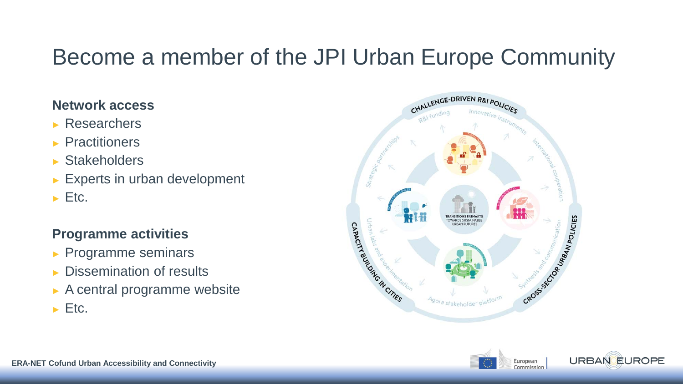#### Become a member of the JPI Urban Europe Community

#### **Network access**

- ► Researchers
- ► Practitioners
- ► Stakeholders
- ► Experts in urban development
- $\blacktriangleright$  Etc.

#### **Programme activities**

- ► Programme seminars
- ► Dissemination of results
- ► A central programme website
- $\blacktriangleright$  Etc.





**IROPF**